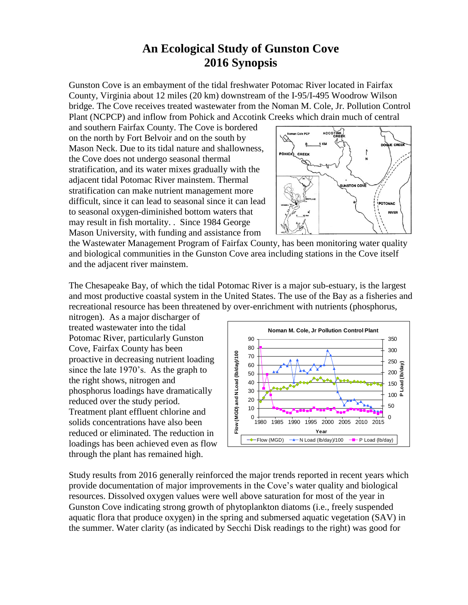## **2016 Synopsis An Ecological Study of Gunston Cove**

Gunston Cove is an embayment of the tidal freshwater Potomac River located in Fairfax County, Virginia about 12 miles (20 km) downstream of the I-95/I-495 Woodrow Wilson bridge. The Cove receives treated wastewater from the Noman M. Cole, Jr. Pollution Control Plant (NCPCP) and inflow from Pohick and Accotink Creeks which drain much of central

 Mason Neck. Due to its tidal nature and shallowness, stratification, and its water mixes gradually with the and southern Fairfax County. The Cove is bordered on the north by Fort Belvoir and on the south by the Cove does not undergo seasonal thermal adjacent tidal Potomac River mainstem. Thermal stratification can make nutrient management more difficult, since it can lead to seasonal since it can lead to seasonal oxygen-diminished bottom waters that may result in fish mortality. . Since 1984 George Mason University, with funding and assistance from



 the Wastewater Management Program of Fairfax County, has been monitoring water quality and biological communities in the Gunston Cove area including stations in the Cove itself and the adjacent river mainstem.

 and most productive coastal system in the United States. The use of the Bay as a fisheries and The Chesapeake Bay, of which the tidal Potomac River is a major sub-estuary, is the largest recreational resource has been threatened by over-enrichment with nutrients (phosphorus,

 since the late 1970's. As the graph to nitrogen). As a major discharger of treated wastewater into the tidal Potomac River, particularly Gunston Cove, Fairfax County has been proactive in decreasing nutrient loading the right shows, nitrogen and phosphorus loadings have dramatically reduced over the study period. Treatment plant effluent chlorine and solids concentrations have also been reduced or eliminated. The reduction in loadings has been achieved even as flow through the plant has remained high.



 Study results from 2016 generally reinforced the major trends reported in recent years which provide documentation of major improvements in the Cove's water quality and biological resources. Dissolved oxygen values were well above saturation for most of the year in Gunston Cove indicating strong growth of phytoplankton diatoms (i.e., freely suspended aquatic flora that produce oxygen) in the spring and submersed aquatic vegetation (SAV) in the summer. Water clarity (as indicated by Secchi Disk readings to the right) was good for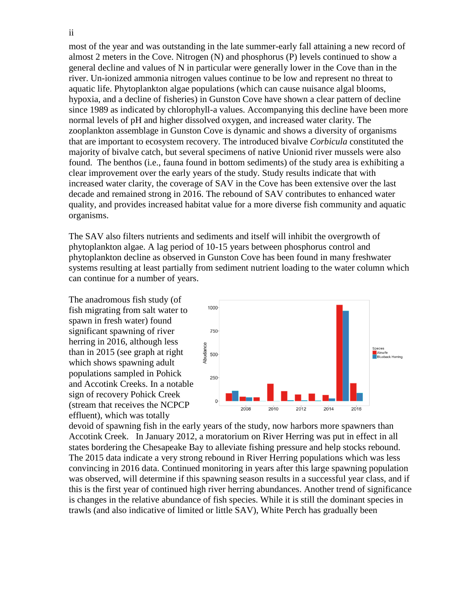general decline and values of N in particular were generally lower in the Cove than in the that are important to ecosystem recovery. The introduced bivalve *Corbicula* constituted the clear improvement over the early years of the study. Study results indicate that with increased water clarity, the coverage of SAV in the Cove has been extensive over the last decade and remained strong in 2016. The rebound of SAV contributes to enhanced water most of the year and was outstanding in the late summer-early fall attaining a new record of almost 2 meters in the Cove. Nitrogen (N) and phosphorus (P) levels continued to show a river. Un-ionized ammonia nitrogen values continue to be low and represent no threat to aquatic life. Phytoplankton algae populations (which can cause nuisance algal blooms, hypoxia, and a decline of fisheries) in Gunston Cove have shown a clear pattern of decline since 1989 as indicated by chlorophyll-a values. Accompanying this decline have been more normal levels of pH and higher dissolved oxygen, and increased water clarity. The zooplankton assemblage in Gunston Cove is dynamic and shows a diversity of organisms majority of bivalve catch, but several specimens of native Unionid river mussels were also found. The benthos (i.e., fauna found in bottom sediments) of the study area is exhibiting a quality, and provides increased habitat value for a more diverse fish community and aquatic organisms.

 systems resulting at least partially from sediment nutrient loading to the water column which can continue for a number of years. The SAV also filters nutrients and sediments and itself will inhibit the overgrowth of phytoplankton algae. A lag period of 10-15 years between phosphorus control and phytoplankton decline as observed in Gunston Cove has been found in many freshwater

 The anadromous fish study (of (stream that receives the NCPCP fish migrating from salt water to spawn in fresh water) found significant spawning of river herring in 2016, although less than in 2015 (see graph at right which shows spawning adult populations sampled in Pohick and Accotink Creeks. In a notable sign of recovery Pohick Creek effluent), which was totally



 Accotink Creek. In January 2012, a moratorium on River Herring was put in effect in all states bordering the Chesapeake Bay to alleviate fishing pressure and help stocks rebound. devoid of spawning fish in the early years of the study, now harbors more spawners than The 2015 data indicate a very strong rebound in River Herring populations which was less convincing in 2016 data. Continued monitoring in years after this large spawning population was observed, will determine if this spawning season results in a successful year class, and if this is the first year of continued high river herring abundances. Another trend of significance is changes in the relative abundance of fish species. While it is still the dominant species in trawls (and also indicative of limited or little SAV), White Perch has gradually been